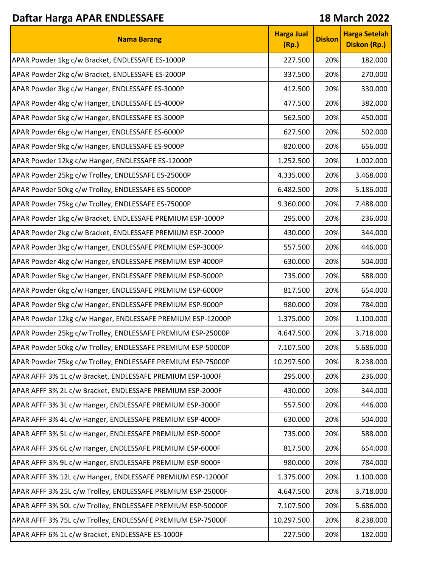## **Daftar Harga APAR ENDLESSAFE**

## **18 March 2022**

| <b>Nama Barang</b>                                          | <b>Harga Jual</b><br>(Rp.) | <b>Diskon</b> | <b>Harga Setelah</b><br><b>Diskon (Rp.)</b> |
|-------------------------------------------------------------|----------------------------|---------------|---------------------------------------------|
| APAR Powder 1kg c/w Bracket, ENDLESSAFE ES-1000P            | 227.500                    | 20%           | 182.000                                     |
| APAR Powder 2kg c/w Bracket, ENDLESSAFE ES-2000P            | 337.500                    | 20%           | 270.000                                     |
| APAR Powder 3kg c/w Hanger, ENDLESSAFE ES-3000P             | 412.500                    | 20%           | 330.000                                     |
| APAR Powder 4kg c/w Hanger, ENDLESSAFE ES-4000P             | 477.500                    | 20%           | 382.000                                     |
| APAR Powder 5kg c/w Hanger, ENDLESSAFE ES-5000P             | 562.500                    | 20%           | 450.000                                     |
| APAR Powder 6kg c/w Hanger, ENDLESSAFE ES-6000P             | 627.500                    | 20%           | 502.000                                     |
| APAR Powder 9kg c/w Hanger, ENDLESSAFE ES-9000P             | 820.000                    | 20%           | 656.000                                     |
| APAR Powder 12kg c/w Hanger, ENDLESSAFE ES-12000P           | 1.252.500                  | 20%           | 1.002.000                                   |
| APAR Powder 25kg c/w Trolley, ENDLESSAFE ES-25000P          | 4.335.000                  | 20%           | 3.468.000                                   |
| APAR Powder 50kg c/w Trolley, ENDLESSAFE ES-50000P          | 6.482.500                  | 20%           | 5.186.000                                   |
| APAR Powder 75kg c/w Trolley, ENDLESSAFE ES-75000P          | 9.360.000                  | 20%           | 7.488.000                                   |
| APAR Powder 1kg c/w Bracket, ENDLESSAFE PREMIUM ESP-1000P   | 295.000                    | 20%           | 236.000                                     |
| APAR Powder 2kg c/w Bracket, ENDLESSAFE PREMIUM ESP-2000P   | 430.000                    | 20%           | 344.000                                     |
| APAR Powder 3kg c/w Hanger, ENDLESSAFE PREMIUM ESP-3000P    | 557.500                    | 20%           | 446.000                                     |
| APAR Powder 4kg c/w Hanger, ENDLESSAFE PREMIUM ESP-4000P    | 630.000                    | 20%           | 504.000                                     |
| APAR Powder 5kg c/w Hanger, ENDLESSAFE PREMIUM ESP-5000P    | 735.000                    | 20%           | 588.000                                     |
| APAR Powder 6kg c/w Hanger, ENDLESSAFE PREMIUM ESP-6000P    | 817.500                    | 20%           | 654.000                                     |
| APAR Powder 9kg c/w Hanger, ENDLESSAFE PREMIUM ESP-9000P    | 980.000                    | 20%           | 784.000                                     |
| APAR Powder 12kg c/w Hanger, ENDLESSAFE PREMIUM ESP-12000P  | 1.375.000                  | 20%           | 1.100.000                                   |
| APAR Powder 25kg c/w Trolley, ENDLESSAFE PREMIUM ESP-25000P | 4.647.500                  | 20%           | 3.718.000                                   |
| APAR Powder 50kg c/w Trolley, ENDLESSAFE PREMIUM ESP-50000P | 7.107.500                  | 20%           | 5.686.000                                   |
| APAR Powder 75kg c/w Trolley, ENDLESSAFE PREMIUM ESP-75000P | 10.297.500                 | 20%           | 8.238.000                                   |
| APAR AFFF 3% 1L c/w Bracket, ENDLESSAFE PREMIUM ESP-1000F   | 295.000                    | 20%           | 236.000                                     |
| APAR AFFF 3% 2L c/w Bracket, ENDLESSAFE PREMIUM ESP-2000F   | 430.000                    | 20%           | 344.000                                     |
| APAR AFFF 3% 3L c/w Hanger, ENDLESSAFE PREMIUM ESP-3000F    | 557.500                    | 20%           | 446.000                                     |
| APAR AFFF 3% 4L c/w Hanger, ENDLESSAFE PREMIUM ESP-4000F    | 630.000                    | 20%           | 504.000                                     |
| APAR AFFF 3% 5L c/w Hanger, ENDLESSAFE PREMIUM ESP-5000F    | 735.000                    | 20%           | 588.000                                     |
| APAR AFFF 3% 6L c/w Hanger, ENDLESSAFE PREMIUM ESP-6000F    | 817.500                    | 20%           | 654.000                                     |
| APAR AFFF 3% 9L c/w Hanger, ENDLESSAFE PREMIUM ESP-9000F    | 980.000                    | 20%           | 784.000                                     |
| APAR AFFF 3% 12L c/w Hanger, ENDLESSAFE PREMIUM ESP-12000F  | 1.375.000                  | 20%           | 1.100.000                                   |
| APAR AFFF 3% 25L c/w Trolley, ENDLESSAFE PREMIUM ESP-25000F | 4.647.500                  | 20%           | 3.718.000                                   |
| APAR AFFF 3% 50L c/w Trolley, ENDLESSAFE PREMIUM ESP-50000F | 7.107.500                  | 20%           | 5.686.000                                   |
| APAR AFFF 3% 75L c/w Trolley, ENDLESSAFE PREMIUM ESP-75000F | 10.297.500                 | 20%           | 8.238.000                                   |
| APAR AFFF 6% 1L c/w Bracket, ENDLESSAFE ES-1000F            | 227.500                    | 20%           | 182.000                                     |